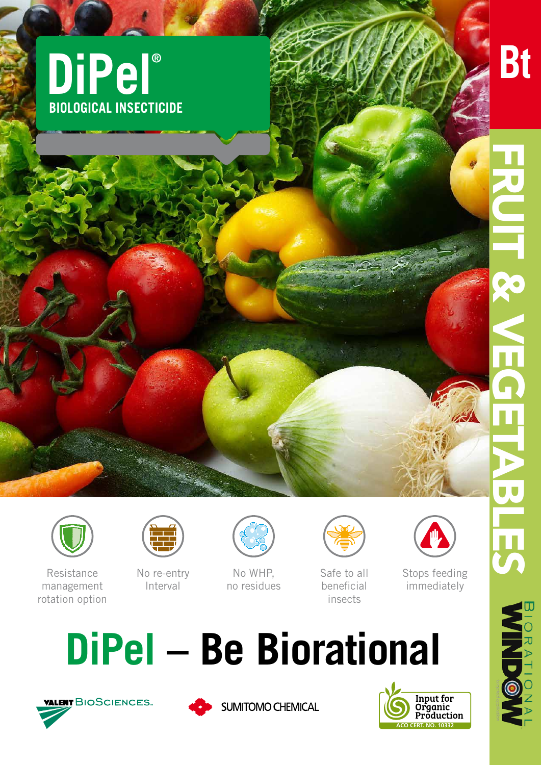



**MOONING** 



Resistance management rotation option



No re-entry Interval



No WHP. no residues



Safe to all beneficial insects



Stops feeding immediately







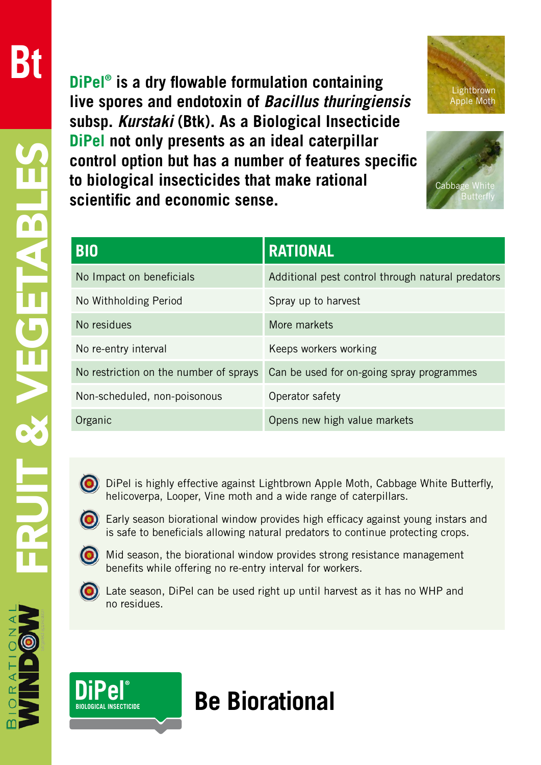**DiPel® is a dry flowable formulation containing live spores and endotoxin of** *Bacillus thuringiensis* **subsp.** *Kurstaki* **(Btk). As a Biological Insecticide DiPel not only presents as an ideal caterpillar control option but has a number of features specific to biological insecticides that make rational scientific and economic sense.**





| <b>BIO</b>                             | <b>RATIONAL</b>                                   |
|----------------------------------------|---------------------------------------------------|
| No Impact on beneficials               | Additional pest control through natural predators |
| No Withholding Period                  | Spray up to harvest                               |
| No residues                            | More markets                                      |
| No re-entry interval                   | Keeps workers working                             |
| No restriction on the number of sprays | Can be used for on-going spray programmes         |
| Non-scheduled, non-poisonous           | Operator safety                                   |
| Organic                                | Opens new high value markets                      |



 DiPel is highly effective against Lightbrown Apple Moth, Cabbage White Butterfly, helicoverpa, Looper, Vine moth and a wide range of caterpillars.

 Early season biorational window provides high efficacy against young instars and is safe to beneficials allowing natural predators to continue protecting crops.



 Mid season, the biorational window provides strong resistance management benefits while offering no re-entry interval for workers.



 Late season, DiPel can be used right up until harvest as it has no WHP and no residues.



**Be Biorational**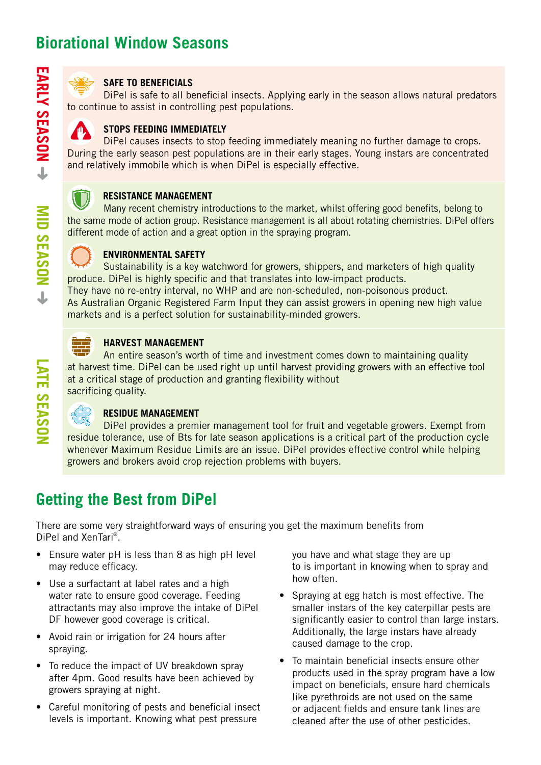

#### **SAFE TO BENEFICIALS**

DiPel is safe to all beneficial insects. Applying early in the season allows natural predators to continue to assist in controlling pest populations.



DiPel causes insects to stop feeding immediately meaning no further damage to crops. During the early season pest populations are in their early stages. Young instars are concentrated and relatively immobile which is when DiPel is especially effective.



Many recent chemistry introductions to the market, whilst offering good benefits, belong to the same mode of action group. Resistance management is all about rotating chemistries. DiPel offers different mode of action and a great option in the spraying program.



**MID SEASON** ← NOSASS QIM

### **ENVIRONMENTAL SAFETY**

Sustainability is a key watchword for growers, shippers, and marketers of high quality produce. DiPel is highly specific and that translates into low-impact products.

They have no re-entry interval, no WHP and are non-scheduled, non-poisonous product. As Australian Organic Registered Farm Input they can assist growers in opening new high value markets and is a perfect solution for sustainability-minded growers.



### **HARVEST MANAGEMENT**

An entire season's worth of time and investment comes down to maintaining quality at harvest time. DiPel can be used right up until harvest providing growers with an effective tool at a critical stage of production and granting flexibility without sacrificing quality.



## **RESIDUE MANAGEMENT**

DiPel provides a premier management tool for fruit and vegetable growers. Exempt from residue tolerance, use of Bts for late season applications is a critical part of the production cycle whenever Maximum Residue Limits are an issue. DiPel provides effective control while helping growers and brokers avoid crop rejection problems with buyers.

# **Getting the Best from DiPel**

There are some very straightforward ways of ensuring you get the maximum benefits from DiPel and XenTari®.

- Ensure water pH is less than 8 as high pH level may reduce efficacy.
- Use a surfactant at label rates and a high water rate to ensure good coverage. Feeding attractants may also improve the intake of DiPel DF however good coverage is critical.
- Avoid rain or irrigation for 24 hours after spraying.
- To reduce the impact of UV breakdown spray after 4pm. Good results have been achieved by growers spraying at night.
- Careful monitoring of pests and beneficial insect levels is important. Knowing what pest pressure

you have and what stage they are up to is important in knowing when to spray and how often.

- Spraying at egg hatch is most effective. The smaller instars of the key caterpillar pests are significantly easier to control than large instars. Additionally, the large instars have already caused damage to the crop.
- To maintain beneficial insects ensure other products used in the spray program have a low impact on beneficials, ensure hard chemicals like pyrethroids are not used on the same or adjacent fields and ensure tank lines are cleaned after the use of other pesticides.